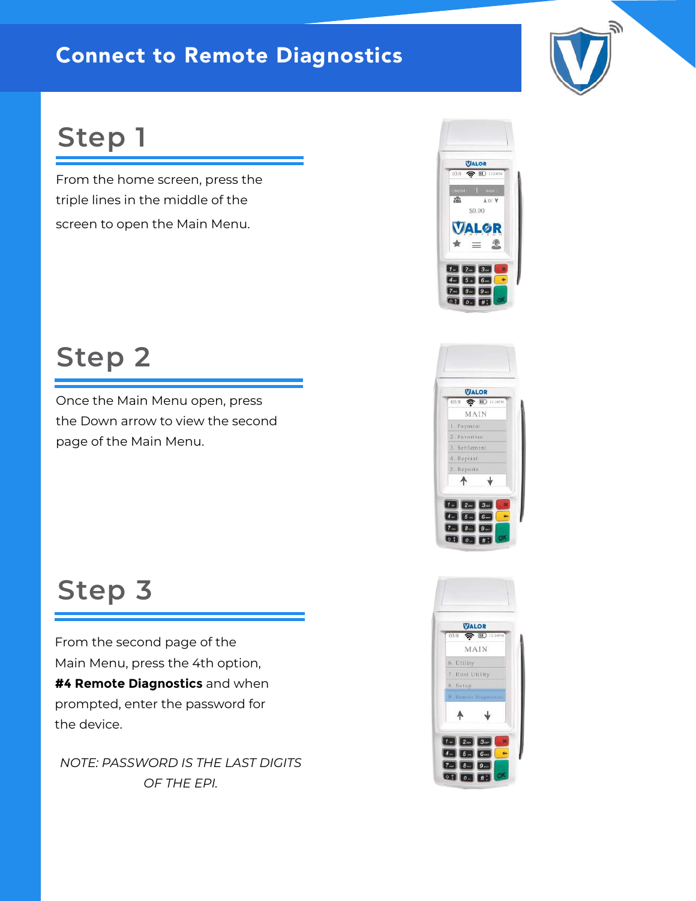#### Connect to Remote Diagnostics

### **Step 1**

From the home screen, press the triple lines in the middle of the screen to open the Main Menu.

### **Step 2**

Once the Main Menu open, press the Down arrow to view the second page of the Main Menu.

### **Step 3**

From the second page of the Main Menu, press the 4th option, **#4 Remote Diagnostics** and when prompted, enter the password for the device.

*NOTE: PASSWORD IS THE LAST DIGITS OF THE EPI.*